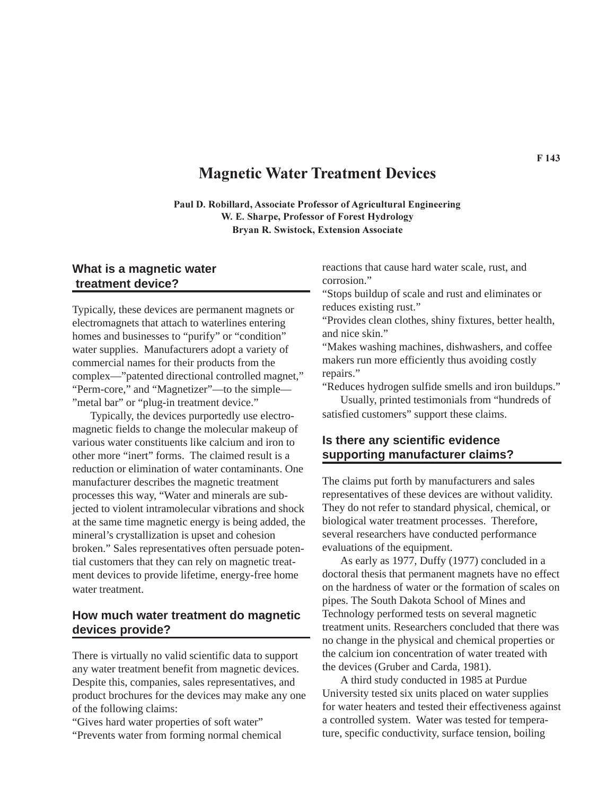# **Magnetic Water Treatment Devices**

**Paul D. Robillard, Associate Professor of Agricultural Engineering W. E. Sharpe, Professor of Forest Hydrology Bryan R. Swistock, Extension Associate**

## **What is a magnetic water treatment device?**

Typically, these devices are permanent magnets or electromagnets that attach to waterlines entering homes and businesses to "purify" or "condition" water supplies. Manufacturers adopt a variety of commercial names for their products from the complex—"patented directional controlled magnet," "Perm-core," and "Magnetizer"—to the simple— "metal bar" or "plug-in treatment device."

Typically, the devices purportedly use electromagnetic fields to change the molecular makeup of various water constituents like calcium and iron to other more "inert" forms. The claimed result is a reduction or elimination of water contaminants. One manufacturer describes the magnetic treatment processes this way, "Water and minerals are subjected to violent intramolecular vibrations and shock at the same time magnetic energy is being added, the mineral's crystallization is upset and cohesion broken." Sales representatives often persuade potential customers that they can rely on magnetic treatment devices to provide lifetime, energy-free home water treatment.

### **How much water treatment do magnetic devices provide?**

There is virtually no valid scientific data to support any water treatment benefit from magnetic devices. Despite this, companies, sales representatives, and product brochures for the devices may make any one of the following claims:

"Gives hard water properties of soft water" "Prevents water from forming normal chemical reactions that cause hard water scale, rust, and corrosion."

"Stops buildup of scale and rust and eliminates or reduces existing rust."

"Provides clean clothes, shiny fixtures, better health, and nice skin."

"Makes washing machines, dishwashers, and coffee makers run more efficiently thus avoiding costly repairs."

"Reduces hydrogen sulfide smells and iron buildups."

Usually, printed testimonials from "hundreds of satisfied customers" support these claims.

# **Is there any scientific evidence supporting manufacturer claims?**

The claims put forth by manufacturers and sales representatives of these devices are without validity. They do not refer to standard physical, chemical, or biological water treatment processes. Therefore, several researchers have conducted performance evaluations of the equipment.

As early as 1977, Duffy (1977) concluded in a doctoral thesis that permanent magnets have no effect on the hardness of water or the formation of scales on pipes. The South Dakota School of Mines and Technology performed tests on several magnetic treatment units. Researchers concluded that there was no change in the physical and chemical properties or the calcium ion concentration of water treated with the devices (Gruber and Carda, 1981).

A third study conducted in 1985 at Purdue University tested six units placed on water supplies for water heaters and tested their effectiveness against a controlled system. Water was tested for temperature, specific conductivity, surface tension, boiling